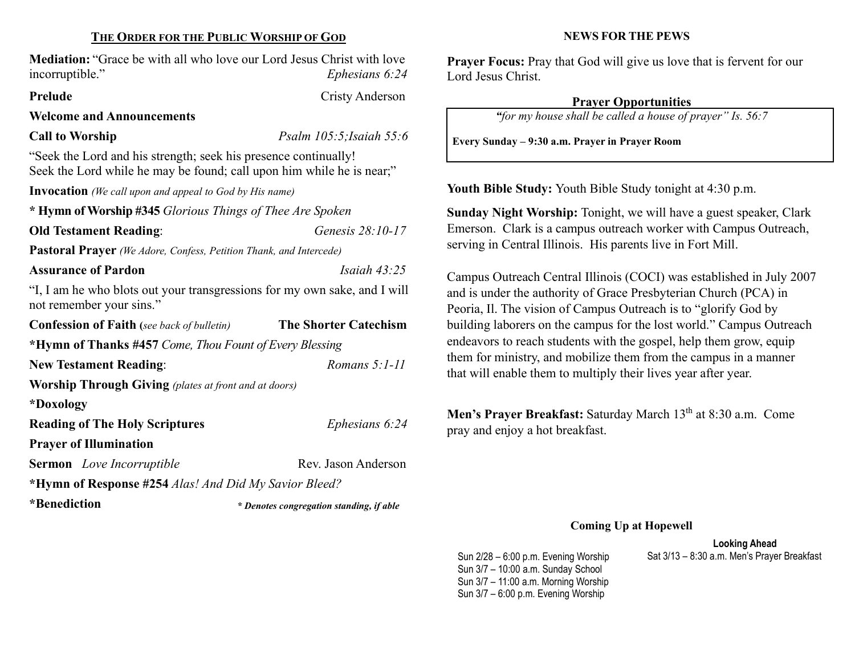## THE ORDER FOR THE PUBLIC WORSHIP OF GOD

Mediation: "Grace be with all who love our Lord Jesus Christ with love incorruptible." Ephesians 6:24

#### Prelude Cristy Anderson

Welcome and Announcements

Call to Worship Psalm 105:5;Isaiah 55:6

"Seek the Lord and his strength; seek his presence continually! Seek the Lord while he may be found; call upon him while he is near;"

Invocation (We call upon and appeal to God by His name)

| * Hymn of Worship #345 Glorious Things of Thee Are Spoken                                             |                              |  |  |  |  |
|-------------------------------------------------------------------------------------------------------|------------------------------|--|--|--|--|
| <b>Old Testament Reading:</b><br>Genesis 28:10-17                                                     |                              |  |  |  |  |
| <b>Pastoral Prayer</b> (We Adore, Confess, Petition Thank, and Intercede)                             |                              |  |  |  |  |
| <b>Assurance of Pardon</b>                                                                            | Isaiah $43:25$               |  |  |  |  |
| "I, I am he who blots out your transgressions for my own sake, and I will<br>not remember your sins." |                              |  |  |  |  |
| <b>Confession of Faith</b> (see back of bulletin)                                                     | <b>The Shorter Catechism</b> |  |  |  |  |
| *Hymn of Thanks #457 Come, Thou Fount of Every Blessing                                               |                              |  |  |  |  |
| Romans $5:1-11$<br><b>New Testament Reading:</b>                                                      |                              |  |  |  |  |
| <b>Worship Through Giving</b> (plates at front and at doors)                                          |                              |  |  |  |  |
| *Doxology                                                                                             |                              |  |  |  |  |
| <b>Reading of The Holy Scriptures</b>                                                                 | Ephesians 6:24               |  |  |  |  |
| <b>Prayer of Illumination</b>                                                                         |                              |  |  |  |  |
| <b>Sermon</b> Love Incorruptible                                                                      | Rev. Jason Anderson          |  |  |  |  |
| *Hymn of Response #254 Alas! And Did My Savior Bleed?                                                 |                              |  |  |  |  |

\*Benediction

\* Denotes congregation standing, if able

#### NEWS FOR THE PEWS

Prayer Focus: Pray that God will give us love that is fervent for our Lord Jesus Christ.

## Prayer Opportunities

"for my house shall be called a house of prayer" Is. 56:7

Every Sunday – 9:30 a.m. Prayer in Prayer Room

Youth Bible Study: Youth Bible Study tonight at 4:30 p.m.

Sunday Night Worship: Tonight, we will have a guest speaker, Clark Emerson. Clark is a campus outreach worker with Campus Outreach, serving in Central Illinois. His parents live in Fort Mill.

Campus Outreach Central Illinois (COCI) was established in July 2007 and is under the authority of Grace Presbyterian Church (PCA) in Peoria, Il. The vision of Campus Outreach is to "glorify God by building laborers on the campus for the lost world." Campus Outreach endeavors to reach students with the gospel, help them grow, equip them for ministry, and mobilize them from the campus in a manner that will enable them to multiply their lives year after year.

Men's Prayer Breakfast: Saturday March 13<sup>th</sup> at 8:30 a.m. Come pray and enjoy a hot breakfast.

### Coming Up at Hopewell

Looking Ahead Sat 3/13 – 8:30 a.m. Men's Prayer Breakfast

Sun 2/28 – 6:00 p.m. Evening Worship Sun 3/7 – 10:00 a.m. Sunday School Sun 3/7 – 11:00 a.m. Morning Worship Sun 3/7 – 6:00 p.m. Evening Worship